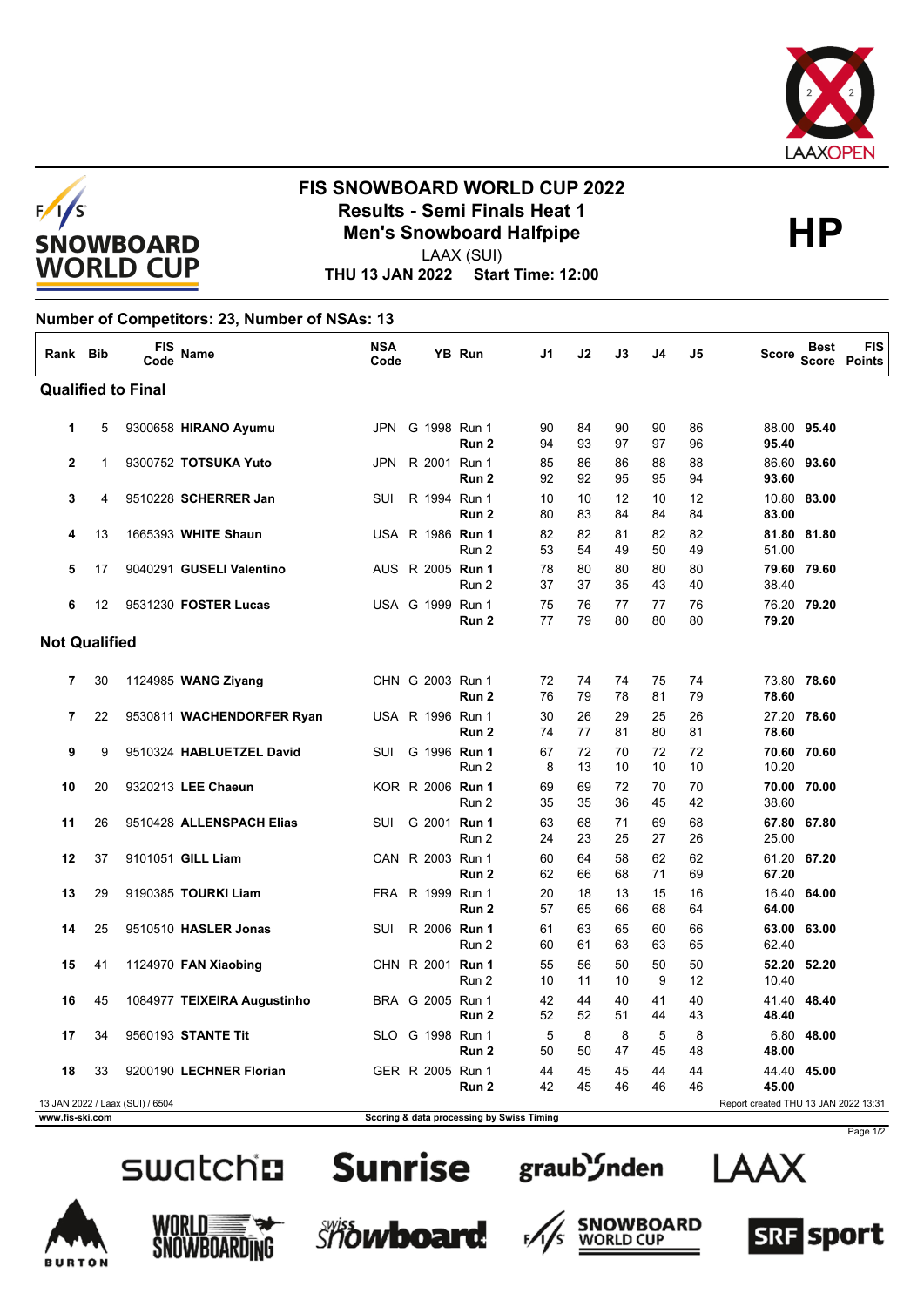



## **FIS SNOWBOARD WORLD CUP 2022 Results - Semi Finals Heat 1**<br>
Men's Snowboard Halfpipe<br>
HP

LAAX (SUI)

**THU 13 JAN 2022 Start Time: 12:00**

## **Number of Competitors: 23, Number of NSAs: 13**

| Rank Bib             |    | <b>FIS</b><br>Code              | Name                        | <b>NSA</b><br>Code |                  | YB Run                                    | J1       | J2       | J3       | J4       | J5       | Score                                | <b>Best</b> | <b>FIS</b><br>Score Points |
|----------------------|----|---------------------------------|-----------------------------|--------------------|------------------|-------------------------------------------|----------|----------|----------|----------|----------|--------------------------------------|-------------|----------------------------|
|                      |    | <b>Qualified to Final</b>       |                             |                    |                  |                                           |          |          |          |          |          |                                      |             |                            |
| 1                    | 5  |                                 | 9300658 HIRANO Ayumu        |                    | JPN G 1998 Run 1 | Run 2                                     | 90<br>94 | 84<br>93 | 90<br>97 | 90<br>97 | 86<br>96 | 95.40                                | 88.00 95.40 |                            |
| $\mathbf{2}$         | 1  |                                 | 9300752 TOTSUKA Yuto        | <b>JPN</b>         | R 2001 Run 1     | Run 2                                     | 85<br>92 | 86<br>92 | 86<br>95 | 88<br>95 | 88<br>94 | 93.60                                | 86.60 93.60 |                            |
| 3                    | 4  |                                 | 9510228 SCHERRER Jan        | <b>SUI</b>         | R 1994 Run 1     | Run <sub>2</sub>                          | 10<br>80 | 10<br>83 | 12<br>84 | 10<br>84 | 12<br>84 | 83.00                                | 10.80 83.00 |                            |
| 4                    | 13 |                                 | 1665393 WHITE Shaun         |                    | USA R 1986 Run 1 | Run 2                                     | 82<br>53 | 82<br>54 | 81<br>49 | 82<br>50 | 82<br>49 | 51.00                                | 81.80 81.80 |                            |
| 5                    | 17 |                                 | 9040291 GUSELI Valentino    |                    | AUS R 2005 Run 1 | Run 2                                     | 78<br>37 | 80<br>37 | 80<br>35 | 80<br>43 | 80<br>40 | 38.40                                | 79.60 79.60 |                            |
| 6                    | 12 |                                 | 9531230 FOSTER Lucas        |                    | USA G 1999 Run 1 | Run 2                                     | 75<br>77 | 76<br>79 | 77<br>80 | 77<br>80 | 76<br>80 | 79.20                                | 76.20 79.20 |                            |
| <b>Not Qualified</b> |    |                                 |                             |                    |                  |                                           |          |          |          |          |          |                                      |             |                            |
| 7                    | 30 |                                 | 1124985 WANG Ziyang         |                    | CHN G 2003 Run 1 | Run <sub>2</sub>                          | 72<br>76 | 74<br>79 | 74<br>78 | 75<br>81 | 74<br>79 | 78.60                                | 73.80 78.60 |                            |
| 7                    | 22 |                                 | 9530811 WACHENDORFER Ryan   |                    | USA R 1996 Run 1 | Run <sub>2</sub>                          | 30<br>74 | 26<br>77 | 29<br>81 | 25<br>80 | 26<br>81 | 78.60                                | 27.20 78.60 |                            |
| 9                    | 9  |                                 | 9510324 HABLUETZEL David    | SUI                | G 1996 Run 1     | Run 2                                     | 67<br>8  | 72<br>13 | 70<br>10 | 72<br>10 | 72<br>10 | 10.20                                | 70.60 70.60 |                            |
| 10                   | 20 |                                 | 9320213 LEE Chaeun          |                    | KOR R 2006 Run 1 | Run 2                                     | 69<br>35 | 69<br>35 | 72<br>36 | 70<br>45 | 70<br>42 | 38.60                                | 70.00 70.00 |                            |
| 11                   | 26 |                                 | 9510428 ALLENSPACH Elias    | SUI                | G 2001 Run 1     | Run 2                                     | 63<br>24 | 68<br>23 | 71<br>25 | 69<br>27 | 68<br>26 | 25.00                                | 67.80 67.80 |                            |
| 12                   | 37 |                                 | 9101051 GILL Liam           |                    | CAN R 2003 Run 1 | Run <sub>2</sub>                          | 60<br>62 | 64<br>66 | 58<br>68 | 62<br>71 | 62<br>69 | 67.20                                | 61.20 67.20 |                            |
| 13                   | 29 |                                 | 9190385 TOURKI Liam         |                    | FRA R 1999 Run 1 | Run 2                                     | 20<br>57 | 18<br>65 | 13<br>66 | 15<br>68 | 16<br>64 | 64.00                                | 16.40 64.00 |                            |
| 14                   | 25 |                                 | 9510510 HASLER Jonas        | SUI                | R 2006 Run 1     | Run 2                                     | 61<br>60 | 63<br>61 | 65<br>63 | 60<br>63 | 66<br>65 | 62.40                                | 63.00 63.00 |                            |
| 15                   | 41 |                                 | 1124970 FAN Xiaobing        |                    | CHN R 2001 Run 1 | Run 2                                     | 55<br>10 | 56<br>11 | 50<br>10 | 50<br>9  | 50<br>12 | 10.40                                | 52.20 52.20 |                            |
| 16                   | 45 |                                 | 1084977 TEIXEIRA Augustinho |                    | BRA G 2005 Run 1 | Run <sub>2</sub>                          | 42<br>52 | 44<br>52 | 40<br>51 | 41<br>44 | 40<br>43 | 48.40                                | 41.40 48.40 |                            |
| 17                   | 34 |                                 | 9560193 STANTE Tit          |                    | SLO G 1998 Run 1 | Run 2                                     | 5<br>50  | 8<br>50  | 8<br>47  | 5<br>45  | 8<br>48  | 48.00                                | 6.80 48.00  |                            |
| 18                   | 33 |                                 | 9200190 LECHNER Florian     |                    | GER R 2005 Run 1 | Run 2                                     | 44<br>42 | 45<br>45 | 45<br>46 | 44<br>46 | 44<br>46 | 45.00                                | 44.40 45.00 |                            |
| www.fis-ski.com      |    | 13 JAN 2022 / Laax (SUI) / 6504 |                             |                    |                  | Scoring & data processing by Swiss Timing |          |          |          |          |          | Report created THU 13 JAN 2022 13:31 |             |                            |





 $F/$ 













Page 1/2